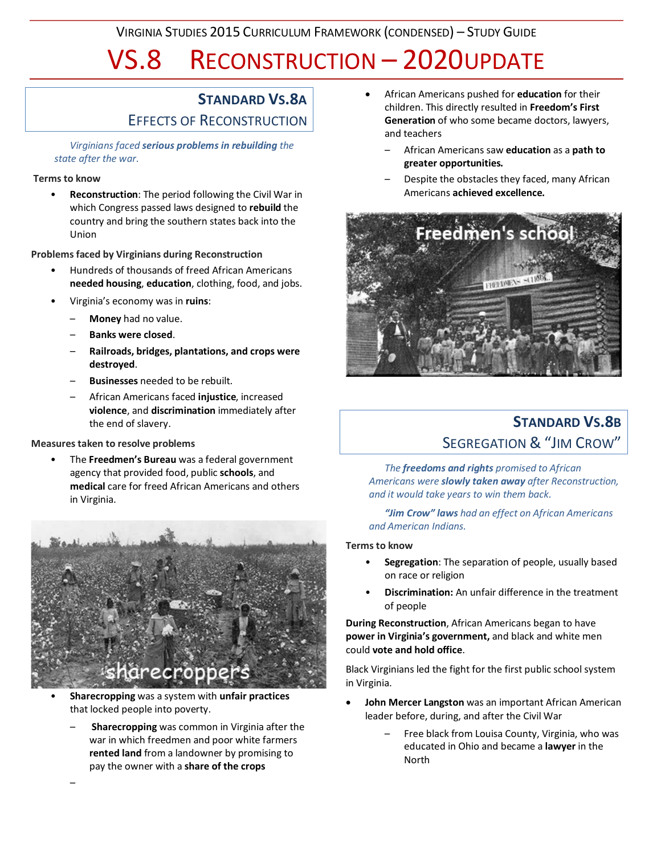VIRGINIA STUDIES 2015 CURRICULUM FRAMEWORK (CONDENSED) – STUDY GUIDE

# VS.8 RECONSTRUCTION – 2020UPDATE

## **STANDARD VS.8A** EFFECTS OF RECONSTRUCTION

*Virginians faced serious problems in rebuilding the state after the war.*

#### **Terms to know**

• **Reconstruction**: The period following the Civil War in which Congress passed laws designed to **rebuild** the country and bring the southern states back into the Union

**Problems faced by Virginians during Reconstruction**

- Hundreds of thousands of freed African Americans **needed housing**, **education**, clothing, food, and jobs.
- Virginia's economy was in **ruins**:
	- **Money** had no value.
	- **Banks were closed**.
	- **Railroads, bridges, plantations, and crops were destroyed**.
	- **Businesses** needed to be rebuilt.
	- African Americans faced **injustice**, increased **violence**, and **discrimination** immediately after the end of slavery.

#### **Measures taken to resolve problems**

–

• The **Freedmen's Bureau** was a federal government agency that provided food, public **schools**, and **medical** care for freed African Americans and others in Virginia.



- **Sharecropping** was a system with **unfair practices** that locked people into poverty.
	- **Sharecropping** was common in Virginia after the war in which freedmen and poor white farmers **rented land** from a landowner by promising to pay the owner with a **share of the crops**
- African Americans pushed for **education** for their children. This directly resulted in **Freedom's First Generation** of who some became doctors, lawyers, and teachers
	- African Americans saw **education** as a **path to greater opportunities.**
	- Despite the obstacles they faced, many African Americans **achieved excellence.**



## **STANDARD VS.8B** SEGREGATION & "JIM CROW"

*The freedoms and rights promised to African Americans were slowly taken away after Reconstruction, and it would take years to win them back.*

*"Jim Crow" laws had an effect on African Americans and American Indians.*

#### **Terms to know**

- **Segregation**: The separation of people, usually based on race or religion
- **Discrimination:** An unfair difference in the treatment of people

**During Reconstruction**, African Americans began to have **power in Virginia's government,** and black and white men could **vote and hold office**.

Black Virginians led the fight for the first public school system in Virginia.

- **John Mercer Langston** was an important African American leader before, during, and after the Civil War
	- Free black from Louisa County, Virginia, who was educated in Ohio and became a **lawyer** in the North